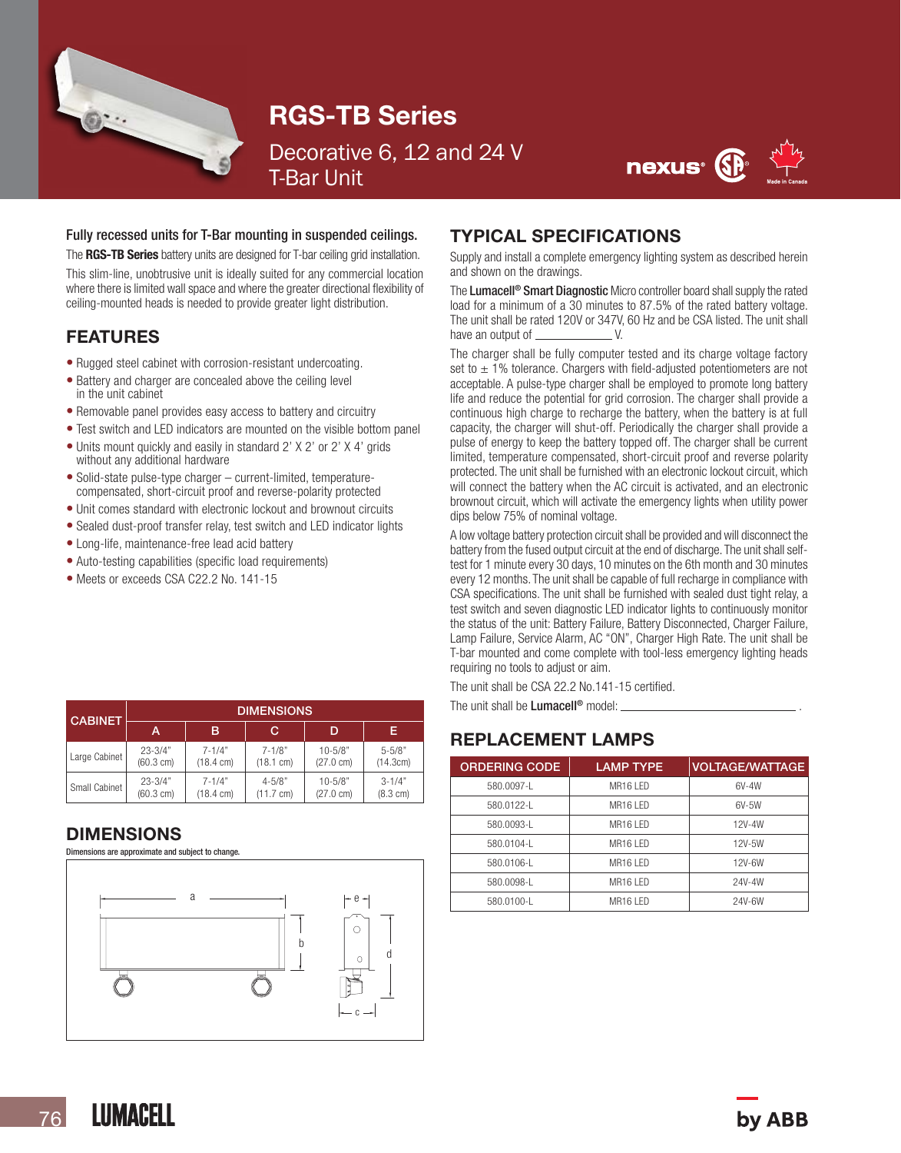

# RGS-TB Series

Decorative 6, 12 and 24 V T-Bar Unit



#### Fully recessed units for T-Bar mounting in suspended ceilings.

The RGS-TB Series battery units are designed for T-bar ceiling grid installation. This slim-line, unobtrusive unit is ideally suited for any commercial location where there is limited wall space and where the greater directional flexibility of ceiling-mounted heads is needed to provide greater light distribution.

#### FEATURES

- Rugged steel cabinet with corrosion-resistant undercoating.
- Battery and charger are concealed above the ceiling level in the unit cabinet
- Removable panel provides easy access to battery and circuitry
- Test switch and LED indicators are mounted on the visible bottom panel
- Units mount quickly and easily in standard 2' X 2' or 2' X 4' grids without any additional hardware
- Solid-state pulse-type charger current-limited, temperaturecompensated, short-circuit proof and reverse-polarity protected
- Unit comes standard with electronic lockout and brownout circuits
- Sealed dust-proof transfer relay, test switch and LED indicator lights
- Long-life, maintenance-free lead acid battery
- Auto-testing capabilities (specific load requirements)
- Meets or exceeds CSA C22.2 No. 141-15

| <b>CABINET</b> | <b>DIMENSIONS</b>   |                     |                     |                     |                    |  |  |
|----------------|---------------------|---------------------|---------------------|---------------------|--------------------|--|--|
|                | А                   | в                   | C                   | D                   | Е                  |  |  |
| Large Cabinet  | $23 - 3/4"$         | $7 - 1/4"$          | $7 - 1/8"$          | $10 - 5/8"$         | $5 - 5/8"$         |  |  |
|                | $(60.3 \text{ cm})$ | $(18.4 \text{ cm})$ | $(18.1 \text{ cm})$ | $(27.0 \text{ cm})$ | (14.3cm)           |  |  |
| Small Cabinet  | $23 - 3/4"$         | $7 - 1/4"$          | $4 - 5/8"$          | $10 - 5/8"$         | $3 - 1/4"$         |  |  |
|                | $(60.3 \text{ cm})$ | $(18.4 \text{ cm})$ | $(11.7 \text{ cm})$ | $(27.0 \text{ cm})$ | $(8.3 \text{ cm})$ |  |  |

#### DIMENSIONS

Dimensions are approximate and subject to change.



#### TYPICAL SPECIFICATIONS

Supply and install a complete emergency lighting system as described herein and shown on the drawings.

The Lumacell<sup>®</sup> Smart Diagnostic Micro controller board shall supply the rated load for a minimum of a 30 minutes to 87.5% of the rated battery voltage. The unit shall be rated 120V or 347V, 60 Hz and be CSA listed. The unit shall have an output of V.

The charger shall be fully computer tested and its charge voltage factory set to  $\pm$  1% tolerance. Chargers with field-adjusted potentiometers are not acceptable. A pulse-type charger shall be employed to promote long battery life and reduce the potential for grid corrosion. The charger shall provide a continuous high charge to recharge the battery, when the battery is at full capacity, the charger will shut-off. Periodically the charger shall provide a pulse of energy to keep the battery topped off. The charger shall be current limited, temperature compensated, short-circuit proof and reverse polarity protected. The unit shall be furnished with an electronic lockout circuit, which will connect the battery when the AC circuit is activated, and an electronic brownout circuit, which will activate the emergency lights when utility power dips below 75% of nominal voltage.

A low voltage battery protection circuit shall be provided and will disconnect the battery from the fused output circuit at the end of discharge. The unit shall selftest for 1 minute every 30 days, 10 minutes on the 6th month and 30 minutes every 12 months. The unit shall be capable of full recharge in compliance with CSA specifications. The unit shall be furnished with sealed dust tight relay, a test switch and seven diagnostic LED indicator lights to continuously monitor the status of the unit: Battery Failure, Battery Disconnected, Charger Failure, Lamp Failure, Service Alarm, AC "ON", Charger High Rate. The unit shall be T-bar mounted and come complete with tool-less emergency lighting heads requiring no tools to adjust or aim.

The unit shall be CSA 22.2 No.141-15 certified.

The unit shall be Lumacell<sup>®</sup> model:

#### REPLACEMENT LAMPS

| <b>ORDERING CODE</b> | <b>LAMP TYPE</b>     | <b>VOLTAGE/WATTAGE</b> |
|----------------------|----------------------|------------------------|
| 580.0097-L           | MR <sub>16</sub> IFD | 6V-4W                  |
| 580.0122-1           | MR16 LED             | $6V-5W$                |
| 580.0093-1           | MR <sub>16</sub> IFD | 12V-4W                 |
| 580.0104-L           | MR16 LED             | 12V-5W                 |
| 580.0106-L           | MR <sub>16</sub> IFD | 12V-6W                 |
| 580.0098-L           | MR <sub>16</sub> IFD | 24V-4W                 |
| 580.0100-L           | MR <sub>16</sub> IFD | 24V-6W                 |